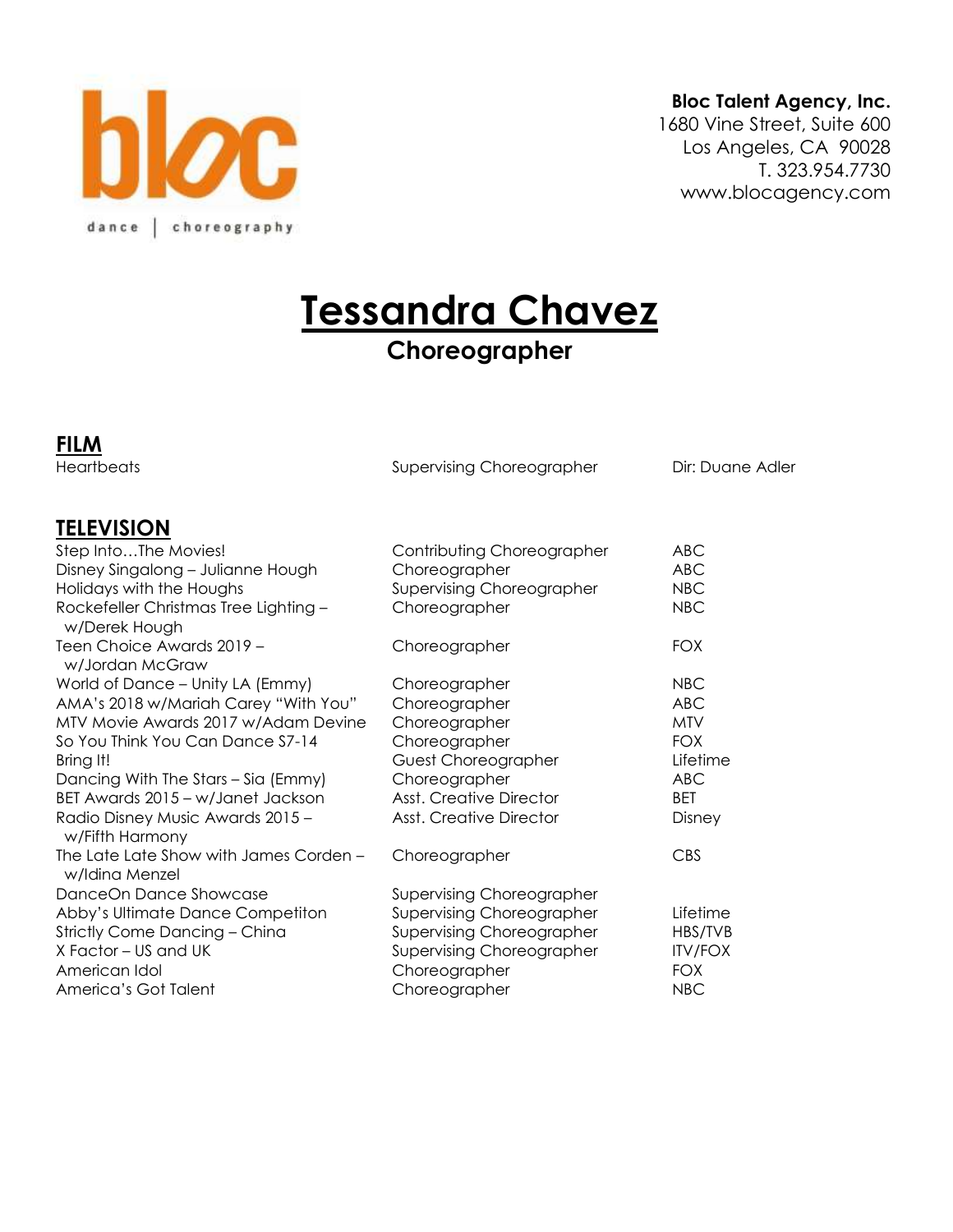

#### **Bloc Talent Agency, Inc.**

1680 Vine Street, Suite 600 Los Angeles, CA 90028 T. 323.954.7730 www.blocagency.com

**Tessandra Chavez**

# **Choreographer**

**FILM**

Heartbeats **Supervising Choreographer** Dir: Duane Adler

#### **TELEVISION**

| Step IntoThe Movies!                                     | Contributing Choreographer     | <b>ABC</b>     |
|----------------------------------------------------------|--------------------------------|----------------|
| Disney Singalong - Julianne Hough                        | Choreographer                  | <b>ABC</b>     |
| Holidays with the Houghs                                 | Supervising Choreographer      | <b>NBC</b>     |
| Rockefeller Christmas Tree Lighting -<br>w/Derek Hough   | Choreographer                  | <b>NBC</b>     |
| Teen Choice Awards 2019 -<br>w/Jordan McGraw             | Choreographer                  | <b>FOX</b>     |
| World of Dance - Unity LA (Emmy)                         | Choreographer                  | NBC            |
| AMA's 2018 w/Mariah Carey "With You"                     | Choreographer                  | <b>ABC</b>     |
| MTV Movie Awards 2017 w/Adam Devine                      | Choreographer                  | <b>MTV</b>     |
| So You Think You Can Dance S7-14                         | Choreographer                  | <b>FOX</b>     |
| Bring It!                                                | Guest Choreographer            | Lifetime       |
| Dancing With The Stars - Sia (Emmy)                      | Choreographer                  | ABC            |
| BET Awards 2015 - w/Janet Jackson                        | <b>Asst. Creative Director</b> | BET            |
| Radio Disney Music Awards 2015 -<br>w/Fifth Harmony      | <b>Asst. Creative Director</b> | Disney         |
| The Late Late Show with James Corden -<br>w/Idina Menzel | Choreographer                  | <b>CBS</b>     |
| DanceOn Dance Showcase                                   | Supervising Choreographer      |                |
| Abby's Ultimate Dance Competiton                         | Supervising Choreographer      | Lifetime       |
| Strictly Come Dancing - China                            | Supervising Choreographer      | HBS/TVB        |
| X Factor – US and UK                                     | Supervising Choreographer      | <b>ITV/FOX</b> |
| American Idol                                            | Choreographer                  | <b>FOX</b>     |
| America's Got Talent                                     | Choreographer                  | <b>NBC</b>     |